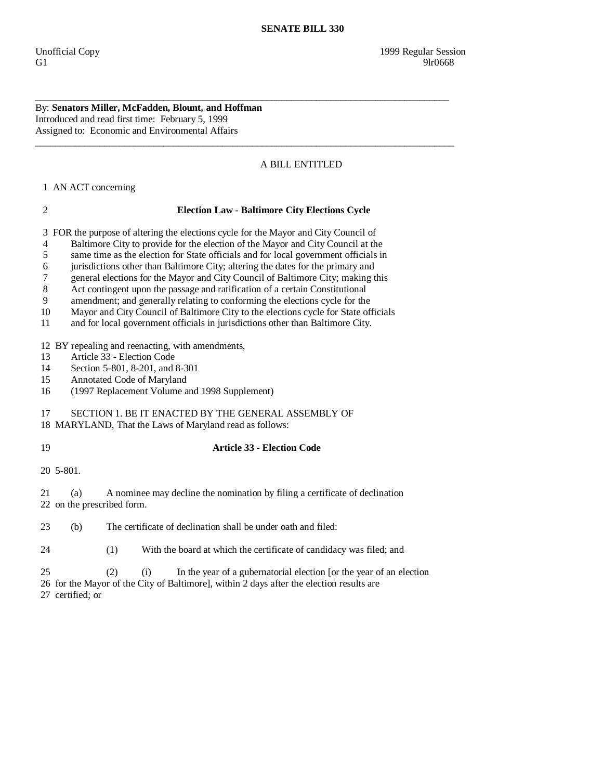#### By: **Senators Miller, McFadden, Blount, and Hoffman**  Introduced and read first time: February 5, 1999 Assigned to: Economic and Environmental Affairs

# A BILL ENTITLED

1 AN ACT concerning

### 2 **Election Law - Baltimore City Elections Cycle**

\_\_\_\_\_\_\_\_\_\_\_\_\_\_\_\_\_\_\_\_\_\_\_\_\_\_\_\_\_\_\_\_\_\_\_\_\_\_\_\_\_\_\_\_\_\_\_\_\_\_\_\_\_\_\_\_\_\_\_\_\_\_\_\_\_\_\_\_\_\_\_\_\_\_\_\_\_\_\_\_\_\_\_\_

\_\_\_\_\_\_\_\_\_\_\_\_\_\_\_\_\_\_\_\_\_\_\_\_\_\_\_\_\_\_\_\_\_\_\_\_\_\_\_\_\_\_\_\_\_\_\_\_\_\_\_\_\_\_\_\_\_\_\_\_\_\_\_\_\_\_\_\_\_\_\_\_\_\_\_\_\_\_\_\_\_\_\_\_\_

3 FOR the purpose of altering the elections cycle for the Mayor and City Council of

4 Baltimore City to provide for the election of the Mayor and City Council at the

5 same time as the election for State officials and for local government officials in

6 jurisdictions other than Baltimore City; altering the dates for the primary and

7 general elections for the Mayor and City Council of Baltimore City; making this

8 Act contingent upon the passage and ratification of a certain Constitutional

9 amendment; and generally relating to conforming the elections cycle for the

10 Mayor and City Council of Baltimore City to the elections cycle for State officials

11 and for local government officials in jurisdictions other than Baltimore City.

12 BY repealing and reenacting, with amendments,

13 Article 33 - Election Code<br>14 Section 5-801, 8-201, and

Section 5-801, 8-201, and 8-301

15 Annotated Code of Maryland

16 (1997 Replacement Volume and 1998 Supplement)

17 SECTION 1. BE IT ENACTED BY THE GENERAL ASSEMBLY OF

18 MARYLAND, That the Laws of Maryland read as follows:

# 19 **Article 33 - Election Code**

20 5-801.

 21 (a) A nominee may decline the nomination by filing a certificate of declination 22 on the prescribed form.

23 (b) The certificate of declination shall be under oath and filed:

24 (1) With the board at which the certificate of candidacy was filed; and

 25 (2) (i) In the year of a gubernatorial election [or the year of an election 26 for the Mayor of the City of Baltimore], within 2 days after the election results are

27 certified; or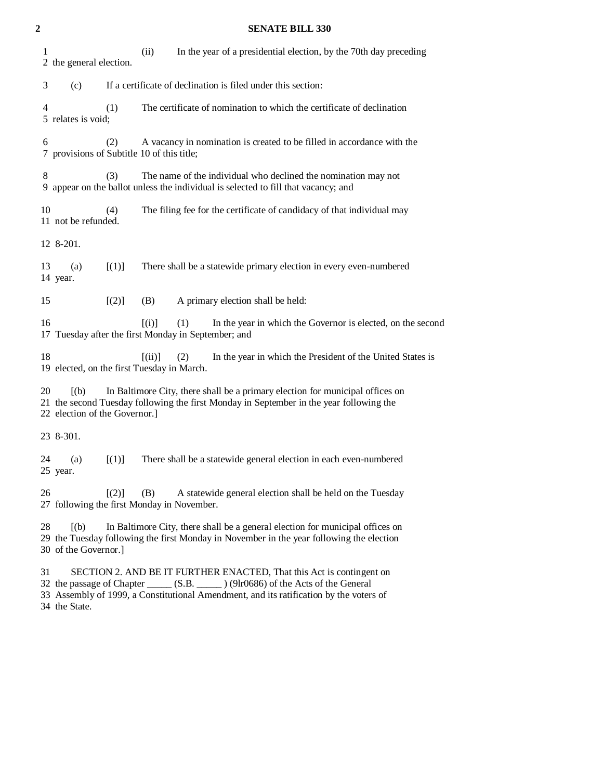| 1<br>2 the general election.                                                                                                                                                                                                                                                 |                                                              | (ii) | In the year of a presidential election, by the 70th day preceding                                                                                    |
|------------------------------------------------------------------------------------------------------------------------------------------------------------------------------------------------------------------------------------------------------------------------------|--------------------------------------------------------------|------|------------------------------------------------------------------------------------------------------------------------------------------------------|
| 3<br>(c)                                                                                                                                                                                                                                                                     | If a certificate of declination is filed under this section: |      |                                                                                                                                                      |
| $\overline{4}$<br>5 relates is void;                                                                                                                                                                                                                                         | (1)                                                          |      | The certificate of nomination to which the certificate of declination                                                                                |
| A vacancy in nomination is created to be filled in accordance with the<br>6<br>(2)<br>7 provisions of Subtitle 10 of this title;                                                                                                                                             |                                                              |      |                                                                                                                                                      |
| 8                                                                                                                                                                                                                                                                            | (3)                                                          |      | The name of the individual who declined the nomination may not<br>9 appear on the ballot unless the individual is selected to fill that vacancy; and |
| 10<br>11 not be refunded.                                                                                                                                                                                                                                                    | (4)                                                          |      | The filing fee for the certificate of candidacy of that individual may                                                                               |
| 12 8-201.                                                                                                                                                                                                                                                                    |                                                              |      |                                                                                                                                                      |
| 13<br>(a)<br>14 year.                                                                                                                                                                                                                                                        | [(1)]                                                        |      | There shall be a statewide primary election in every even-numbered                                                                                   |
| 15                                                                                                                                                                                                                                                                           | [(2)]                                                        | (B)  | A primary election shall be held:                                                                                                                    |
| 16<br>In the year in which the Governor is elected, on the second<br>[(i)]<br>(1)<br>17 Tuesday after the first Monday in September; and                                                                                                                                     |                                                              |      |                                                                                                                                                      |
| 18<br>$[$ (ii)]<br>(2)<br>In the year in which the President of the United States is<br>19 elected, on the first Tuesday in March.                                                                                                                                           |                                                              |      |                                                                                                                                                      |
| 20<br>(a)<br>In Baltimore City, there shall be a primary election for municipal offices on<br>21 the second Tuesday following the first Monday in September in the year following the<br>22 election of the Governor.]                                                       |                                                              |      |                                                                                                                                                      |
| 23 8-301.                                                                                                                                                                                                                                                                    |                                                              |      |                                                                                                                                                      |
| 24<br>(a)<br>25 year.                                                                                                                                                                                                                                                        | [(1)]                                                        |      | There shall be a statewide general election in each even-numbered                                                                                    |
| 26<br>27 following the first Monday in November.                                                                                                                                                                                                                             | $\lceil (2) \rceil$                                          | (B)  | A statewide general election shall be held on the Tuesday                                                                                            |
| 28<br>In Baltimore City, there shall be a general election for municipal offices on<br>[(b)]<br>29 the Tuesday following the first Monday in November in the year following the election<br>30 of the Governor.]                                                             |                                                              |      |                                                                                                                                                      |
| 31<br>SECTION 2. AND BE IT FURTHER ENACTED, That this Act is contingent on<br>32 the passage of Chapter _____ (S.B. ______ ) (9lr0686) of the Acts of the General<br>33 Assembly of 1999, a Constitutional Amendment, and its ratification by the voters of<br>34 the State. |                                                              |      |                                                                                                                                                      |

# **2 SENATE BILL 330**